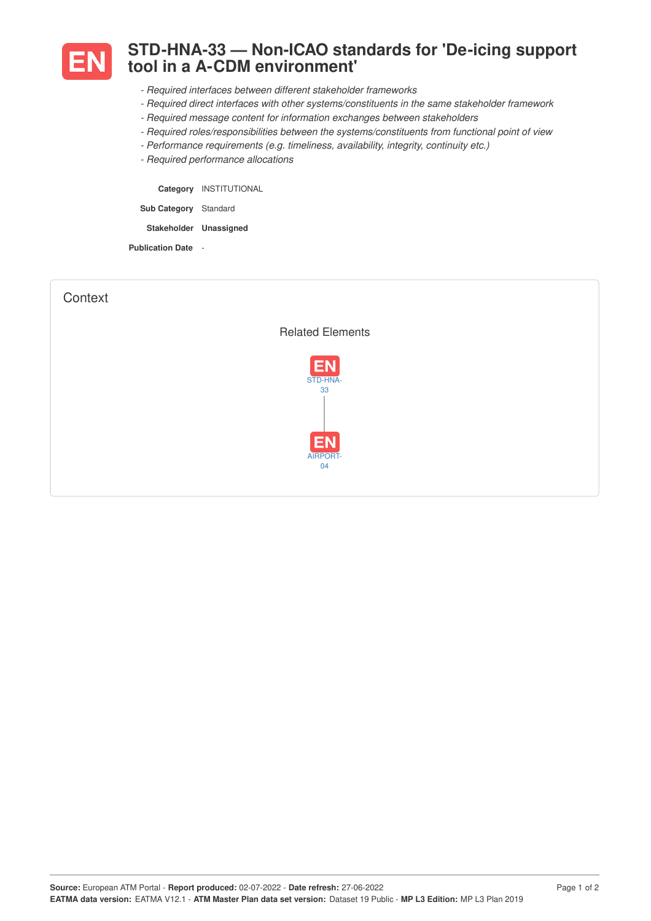

## **STD-HNA-33 — Non-ICAO standards for 'De-icing support tool in a A-CDM environment'**

- *- Required interfaces between different stakeholder frameworks*
- *- Required direct interfaces with other systems/constituents in the same stakeholder framework*
- *- Required message content for information exchanges between stakeholders*
- *- Required roles/responsibilities between the systems/constituents from functional point of view*
- *- Performance requirements (e.g. timeliness, availability, integrity, continuity etc.)*
- *- Required performance allocations*

**Category** INSTITUTIONAL **Sub Category** Standard **Stakeholder Unassigned**

**Publication Date** -